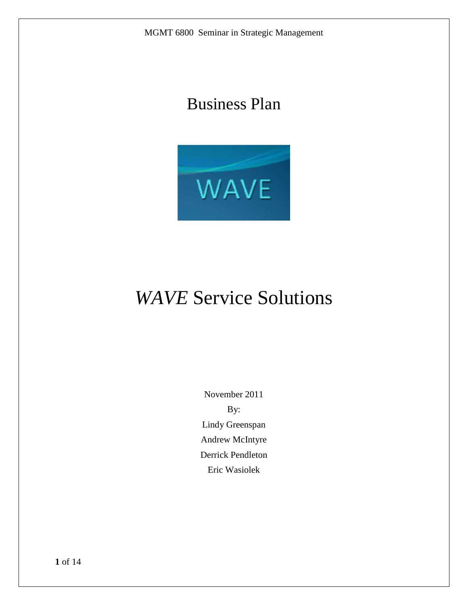# Business Plan



# *WAVE* Service Solutions

November 2011 By: Lindy Greenspan Andrew McIntyre Derrick Pendleton Eric Wasiolek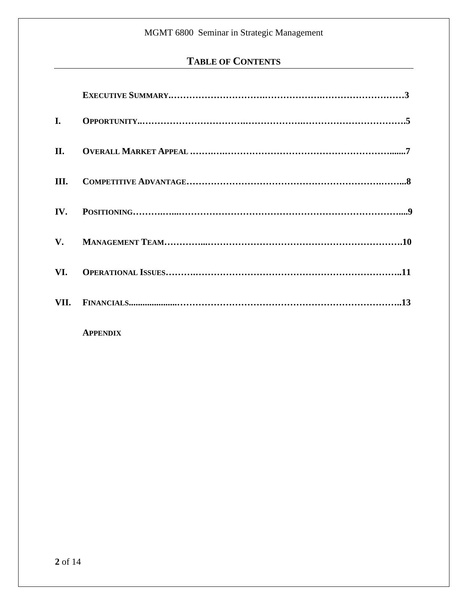# **TABLE OF CONTENTS**

| I.   |  |
|------|--|
| II.  |  |
| III. |  |
|      |  |
|      |  |
| VI.  |  |
| VII. |  |

**APPENDIX**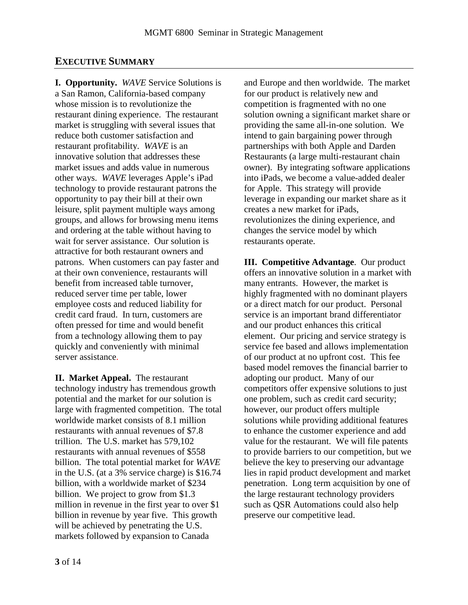### **EXECUTIVE SUMMARY**

**I. Opportunity.** *WAVE* Service Solutions is a San Ramon, California-based company whose mission is to revolutionize the restaurant dining experience. The restaurant market is struggling with several issues that reduce both customer satisfaction and restaurant profitability. *WAVE* is an innovative solution that addresses these market issues and adds value in numerous other ways. *WAVE* leverages Apple's iPad technology to provide restaurant patrons the opportunity to pay their bill at their own leisure, split payment multiple ways among groups, and allows for browsing menu items and ordering at the table without having to wait for server assistance. Our solution is attractive for both restaurant owners and patrons. When customers can pay faster and at their own convenience, restaurants will benefit from increased table turnover, reduced server time per table, lower employee costs and reduced liability for credit card fraud. In turn, customers are often pressed for time and would benefit from a technology allowing them to pay quickly and conveniently with minimal server assistance.

**II. Market Appeal.** The restaurant technology industry has tremendous growth potential and the market for our solution is large with fragmented competition. The total worldwide market consists of 8.1 million restaurants with annual revenues of \$7.8 trillion. The U.S. market has 579,102 restaurants with annual revenues of \$558 billion. The total potential market for *WAVE* in the U.S. (at a 3% service charge) is \$16.74 billion, with a worldwide market of \$234 billion. We project to grow from \$1.3 million in revenue in the first year to over \$1 billion in revenue by year five. This growth will be achieved by penetrating the U.S. markets followed by expansion to Canada

and Europe and then worldwide. The market for our product is relatively new and competition is fragmented with no one solution owning a significant market share or providing the same all-in-one solution. We intend to gain bargaining power through partnerships with both Apple and Darden Restaurants (a large multi-restaurant chain owner). By integrating software applications into iPads, we become a value-added dealer for Apple. This strategy will provide leverage in expanding our market share as it creates a new market for iPads, revolutionizes the dining experience, and changes the service model by which restaurants operate.

**III. Competitive Advantage**. Our product offers an innovative solution in a market with many entrants. However, the market is highly fragmented with no dominant players or a direct match for our product. Personal service is an important brand differentiator and our product enhances this critical element. Our pricing and service strategy is service fee based and allows implementation of our product at no upfront cost. This fee based model removes the financial barrier to adopting our product. Many of our competitors offer expensive solutions to just one problem, such as credit card security; however, our product offers multiple solutions while providing additional features to enhance the customer experience and add value for the restaurant. We will file patents to provide barriers to our competition, but we believe the key to preserving our advantage lies in rapid product development and market penetration. Long term acquisition by one of the large restaurant technology providers such as QSR Automations could also help preserve our competitive lead.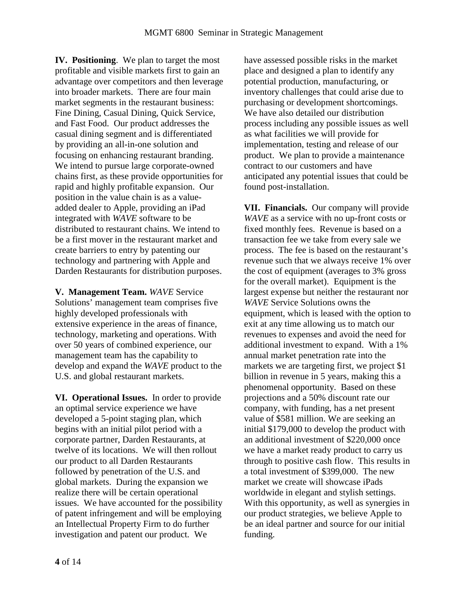**IV. Positioning**. We plan to target the most profitable and visible markets first to gain an advantage over competitors and then leverage into broader markets. There are four main market segments in the restaurant business: Fine Dining, Casual Dining, Quick Service, and Fast Food. Our product addresses the casual dining segment and is differentiated by providing an all-in-one solution and focusing on enhancing restaurant branding. We intend to pursue large corporate-owned chains first, as these provide opportunities for rapid and highly profitable expansion. Our position in the value chain is as a valueadded dealer to Apple, providing an iPad integrated with *WAVE* software to be distributed to restaurant chains. We intend to be a first mover in the restaurant market and create barriers to entry by patenting our technology and partnering with Apple and Darden Restaurants for distribution purposes.

**V. Management Team.** *WAVE* Service Solutions' management team comprises five highly developed professionals with extensive experience in the areas of finance, technology, marketing and operations. With over 50 years of combined experience, our management team has the capability to develop and expand the *WAVE* product to the U.S. and global restaurant markets.

**VI. Operational Issues.** In order to provide an optimal service experience we have developed a 5-point staging plan, which begins with an initial pilot period with a corporate partner, Darden Restaurants, at twelve of its locations. We will then rollout our product to all Darden Restaurants followed by penetration of the U.S. and global markets. During the expansion we realize there will be certain operational issues. We have accounted for the possibility of patent infringement and will be employing an Intellectual Property Firm to do further investigation and patent our product*.* We

have assessed possible risks in the market place and designed a plan to identify any potential production, manufacturing, or inventory challenges that could arise due to purchasing or development shortcomings. We have also detailed our distribution process including any possible issues as well as what facilities we will provide for implementation, testing and release of our product. We plan to provide a maintenance contract to our customers and have anticipated any potential issues that could be found post-installation.

**VII. Financials.** Our company will provide *WAVE* as a service with no up-front costs or fixed monthly fees. Revenue is based on a transaction fee we take from every sale we process. The fee is based on the restaurant's revenue such that we always receive 1% over the cost of equipment (averages to 3% gross for the overall market). Equipment is the largest expense but neither the restaurant nor *WAVE* Service Solutions owns the equipment, which is leased with the option to exit at any time allowing us to match our revenues to expenses and avoid the need for additional investment to expand. With a 1% annual market penetration rate into the markets we are targeting first, we project \$1 billion in revenue in 5 years, making this a phenomenal opportunity. Based on these projections and a 50% discount rate our company, with funding, has a net present value of \$581 million. We are seeking an initial \$179,000 to develop the product with an additional investment of \$220,000 once we have a market ready product to carry us through to positive cash flow. This results in a total investment of \$399,000. The new market we create will showcase iPads worldwide in elegant and stylish settings. With this opportunity, as well as synergies in our product strategies, we believe Apple to be an ideal partner and source for our initial funding.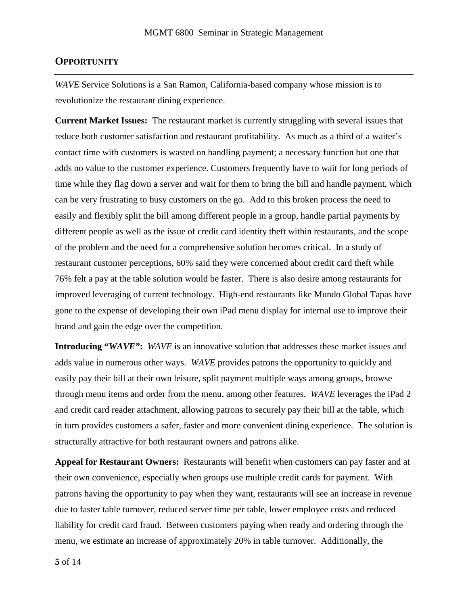#### **OPPORTUNITY**

*WAVE* Service Solutions is a San Ramon, California-based company whose mission is to revolutionize the restaurant dining experience.

**Current Market Issues:** The restaurant market is currently struggling with several issues that reduce both customer satisfaction and restaurant profitability. As much as a third of a waiter's contact time with customers is wasted on handling payment; a necessary function but one that adds no value to the customer experience. Customers frequently have to wait for long periods of time while they flag down a server and wait for them to bring the bill and handle payment, which can be very frustrating to busy customers on the go. Add to this broken process the need to easily and flexibly split the bill among different people in a group, handle partial payments by different people as well as the issue of credit card identity theft within restaurants, and the scope of the problem and the need for a comprehensive solution becomes critical. In a study of restaurant customer perceptions, 60% said they were concerned about credit card theft while 76% felt a pay at the table solution would be faster. There is also desire among restaurants for improved leveraging of current technology. High-end restaurants like Mundo Global Tapas have gone to the expense of developing their own iPad menu display for internal use to improve their brand and gain the edge over the competition.

**Introducing "***WAVE"***:** *WAVE* is an innovative solution that addresses these market issues and adds value in numerous other ways. *WAVE* provides patrons the opportunity to quickly and easily pay their bill at their own leisure, split payment multiple ways among groups, browse through menu items and order from the menu, among other features. *WAVE* leverages the iPad 2 and credit card reader attachment, allowing patrons to securely pay their bill at the table, which in turn provides customers a safer, faster and more convenient dining experience. The solution is structurally attractive for both restaurant owners and patrons alike.

**Appeal for Restaurant Owners:** Restaurants will benefit when customers can pay faster and at their own convenience, especially when groups use multiple credit cards for payment. With patrons having the opportunity to pay when they want, restaurants will see an increase in revenue due to faster table turnover, reduced server time per table, lower employee costs and reduced liability for credit card fraud. Between customers paying when ready and ordering through the menu, we estimate an increase of approximately 20% in table turnover. Additionally, the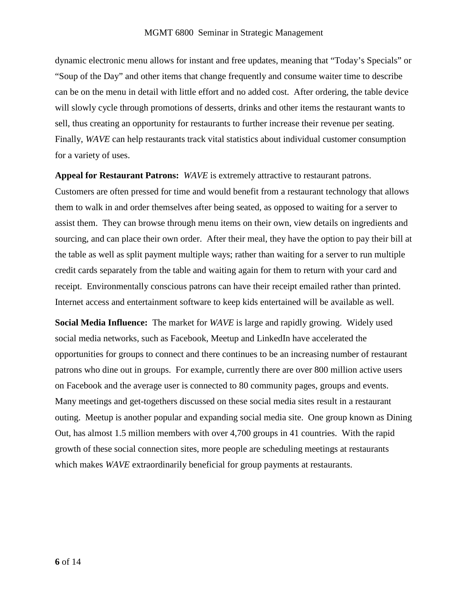dynamic electronic menu allows for instant and free updates, meaning that "Today's Specials" or "Soup of the Day" and other items that change frequently and consume waiter time to describe can be on the menu in detail with little effort and no added cost. After ordering, the table device will slowly cycle through promotions of desserts, drinks and other items the restaurant wants to sell, thus creating an opportunity for restaurants to further increase their revenue per seating. Finally, *WAVE* can help restaurants track vital statistics about individual customer consumption for a variety of uses.

**Appeal for Restaurant Patrons:** *WAVE* is extremely attractive to restaurant patrons. Customers are often pressed for time and would benefit from a restaurant technology that allows them to walk in and order themselves after being seated, as opposed to waiting for a server to assist them. They can browse through menu items on their own, view details on ingredients and sourcing, and can place their own order. After their meal, they have the option to pay their bill at the table as well as split payment multiple ways; rather than waiting for a server to run multiple credit cards separately from the table and waiting again for them to return with your card and receipt. Environmentally conscious patrons can have their receipt emailed rather than printed. Internet access and entertainment software to keep kids entertained will be available as well.

**Social Media Influence:** The market for *WAVE* is large and rapidly growing. Widely used social media networks, such as Facebook, Meetup and LinkedIn have accelerated the opportunities for groups to connect and there continues to be an increasing number of restaurant patrons who dine out in groups. For example, currently there are over 800 million active users on Facebook and the average user is connected to 80 community pages, groups and events. Many meetings and get-togethers discussed on these social media sites result in a restaurant outing. Meetup is another popular and expanding social media site. One group known as Dining Out, has almost 1.5 million members with over 4,700 groups in 41 countries. With the rapid growth of these social connection sites, more people are scheduling meetings at restaurants which makes *WAVE* extraordinarily beneficial for group payments at restaurants.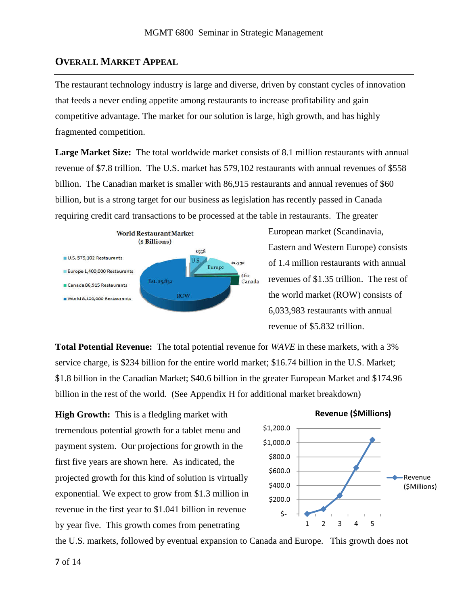### **OVERALL MARKET APPEAL**

The restaurant technology industry is large and diverse, driven by constant cycles of innovation that feeds a never ending appetite among restaurants to increase profitability and gain competitive advantage. The market for our solution is large, high growth, and has highly fragmented competition.

**Large Market Size:** The total worldwide market consists of 8.1 million restaurants with annual revenue of \$7.8 trillion. The U.S. market has 579,102 restaurants with annual revenues of \$558 billion. The Canadian market is smaller with 86,915 restaurants and annual revenues of \$60 billion, but is a strong target for our business as legislation has recently passed in Canada requiring credit card transactions to be processed at the table in restaurants. The greater



European market (Scandinavia, Eastern and Western Europe) consists of 1.4 million restaurants with annual revenues of \$1.35 trillion. The rest of the world market (ROW) consists of 6,033,983 restaurants with annual revenue of \$5.832 trillion.

**Total Potential Revenue:** The total potential revenue for *WAVE* in these markets, with a 3% service charge, is \$234 billion for the entire world market; \$16.74 billion in the U.S. Market; \$1.8 billion in the Canadian Market; \$40.6 billion in the greater European Market and \$174.96 billion in the rest of the world. (See Appendix H for additional market breakdown)

**High Growth:** This is a fledgling market with tremendous potential growth for a tablet menu and payment system. Our projections for growth in the first five years are shown here. As indicated, the projected growth for this kind of solution is virtually exponential. We expect to grow from \$1.3 million in revenue in the first year to \$1.041 billion in revenue by year five. This growth comes from penetrating



the U.S. markets, followed by eventual expansion to Canada and Europe. This growth does not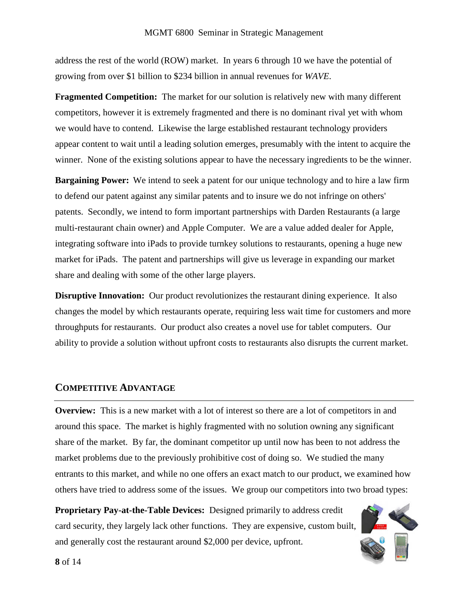address the rest of the world (ROW) market. In years 6 through 10 we have the potential of growing from over \$1 billion to \$234 billion in annual revenues for *WAVE*.

**Fragmented Competition:** The market for our solution is relatively new with many different competitors, however it is extremely fragmented and there is no dominant rival yet with whom we would have to contend. Likewise the large established restaurant technology providers appear content to wait until a leading solution emerges, presumably with the intent to acquire the winner. None of the existing solutions appear to have the necessary ingredients to be the winner.

**Bargaining Power:** We intend to seek a patent for our unique technology and to hire a law firm to defend our patent against any similar patents and to insure we do not infringe on others' patents. Secondly, we intend to form important partnerships with Darden Restaurants (a large multi-restaurant chain owner) and Apple Computer. We are a value added dealer for Apple, integrating software into iPads to provide turnkey solutions to restaurants, opening a huge new market for iPads. The patent and partnerships will give us leverage in expanding our market share and dealing with some of the other large players.

**Disruptive Innovation:** Our product revolutionizes the restaurant dining experience. It also changes the model by which restaurants operate, requiring less wait time for customers and more throughputs for restaurants. Our product also creates a novel use for tablet computers. Our ability to provide a solution without upfront costs to restaurants also disrupts the current market.

#### **COMPETITIVE ADVANTAGE**

**Overview:** This is a new market with a lot of interest so there are a lot of competitors in and around this space. The market is highly fragmented with no solution owning any significant share of the market. By far, the dominant competitor up until now has been to not address the market problems due to the previously prohibitive cost of doing so. We studied the many entrants to this market, and while no one offers an exact match to our product, we examined how others have tried to address some of the issues. We group our competitors into two broad types:

**Proprietary Pay-at-the-Table Devices:** Designed primarily to address credit card security, they largely lack other functions. They are expensive, custom built, and generally cost the restaurant around \$2,000 per device, upfront.

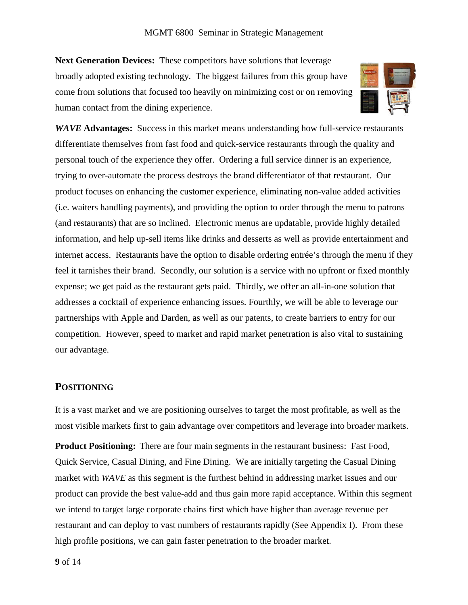**Next Generation Devices:** These competitors have solutions that leverage broadly adopted existing technology. The biggest failures from this group have come from solutions that focused too heavily on minimizing cost or on removing human contact from the dining experience.



*WAVE* **Advantages:** Success in this market means understanding how full-service restaurants differentiate themselves from fast food and quick-service restaurants through the quality and personal touch of the experience they offer. Ordering a full service dinner is an experience, trying to over-automate the process destroys the brand differentiator of that restaurant. Our product focuses on enhancing the customer experience, eliminating non-value added activities (i.e. waiters handling payments), and providing the option to order through the menu to patrons (and restaurants) that are so inclined. Electronic menus are updatable, provide highly detailed information, and help up-sell items like drinks and desserts as well as provide entertainment and internet access. Restaurants have the option to disable ordering entrée's through the menu if they feel it tarnishes their brand. Secondly, our solution is a service with no upfront or fixed monthly expense; we get paid as the restaurant gets paid. Thirdly, we offer an all-in-one solution that addresses a cocktail of experience enhancing issues. Fourthly, we will be able to leverage our partnerships with Apple and Darden, as well as our patents, to create barriers to entry for our competition. However, speed to market and rapid market penetration is also vital to sustaining our advantage.

### **POSITIONING**

It is a vast market and we are positioning ourselves to target the most profitable, as well as the most visible markets first to gain advantage over competitors and leverage into broader markets.

**Product Positioning:** There are four main segments in the restaurant business: Fast Food, Quick Service, Casual Dining, and Fine Dining. We are initially targeting the Casual Dining market with *WAVE* as this segment is the furthest behind in addressing market issues and our product can provide the best value-add and thus gain more rapid acceptance. Within this segment we intend to target large corporate chains first which have higher than average revenue per restaurant and can deploy to vast numbers of restaurants rapidly (See Appendix I). From these high profile positions, we can gain faster penetration to the broader market.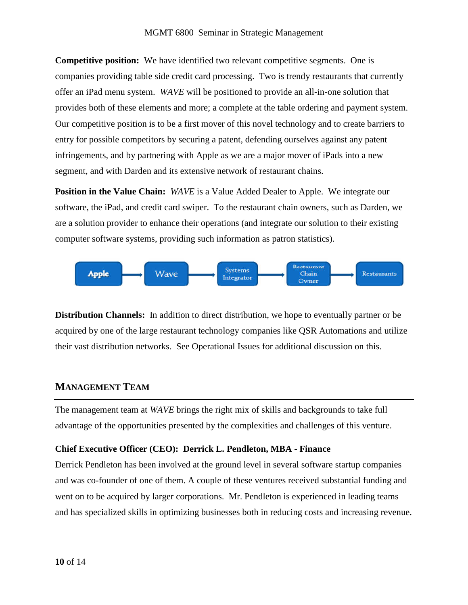**Competitive position:** We have identified two relevant competitive segments. One is companies providing table side credit card processing. Two is trendy restaurants that currently offer an iPad menu system. *WAVE* will be positioned to provide an all-in-one solution that provides both of these elements and more; a complete at the table ordering and payment system. Our competitive position is to be a first mover of this novel technology and to create barriers to entry for possible competitors by securing a patent, defending ourselves against any patent infringements, and by partnering with Apple as we are a major mover of iPads into a new segment, and with Darden and its extensive network of restaurant chains.

**Position in the Value Chain:** *WAVE* is a Value Added Dealer to Apple. We integrate our software, the iPad, and credit card swiper. To the restaurant chain owners, such as Darden, we are a solution provider to enhance their operations (and integrate our solution to their existing computer software systems, providing such information as patron statistics).



**Distribution Channels:** In addition to direct distribution, we hope to eventually partner or be acquired by one of the large restaurant technology companies like QSR Automations and utilize their vast distribution networks. See Operational Issues for additional discussion on this.

### **MANAGEMENT TEAM**

The management team at *WAVE* brings the right mix of skills and backgrounds to take full advantage of the opportunities presented by the complexities and challenges of this venture.

#### **Chief Executive Officer (CEO): Derrick L. Pendleton, MBA - Finance**

Derrick Pendleton has been involved at the ground level in several software startup companies and was co-founder of one of them. A couple of these ventures received substantial funding and went on to be acquired by larger corporations. Mr. Pendleton is experienced in leading teams and has specialized skills in optimizing businesses both in reducing costs and increasing revenue.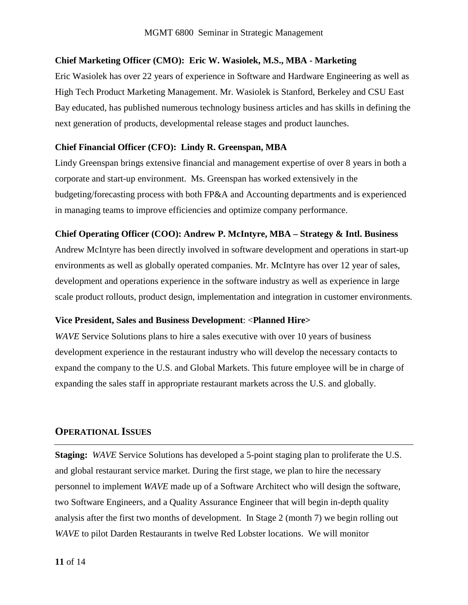#### **Chief Marketing Officer (CMO): Eric W. Wasiolek, M.S., MBA - Marketing**

Eric Wasiolek has over 22 years of experience in Software and Hardware Engineering as well as High Tech Product Marketing Management. Mr. Wasiolek is Stanford, Berkeley and CSU East Bay educated, has published numerous technology business articles and has skills in defining the next generation of products, developmental release stages and product launches.

#### **Chief Financial Officer (CFO): Lindy R. Greenspan, MBA**

Lindy Greenspan brings extensive financial and management expertise of over 8 years in both a corporate and start-up environment. Ms. Greenspan has worked extensively in the budgeting/forecasting process with both FP&A and Accounting departments and is experienced in managing teams to improve efficiencies and optimize company performance.

#### **Chief Operating Officer (COO): Andrew P. McIntyre, MBA – Strategy & Intl. Business**

Andrew McIntyre has been directly involved in software development and operations in start-up environments as well as globally operated companies. Mr. McIntyre has over 12 year of sales, development and operations experience in the software industry as well as experience in large scale product rollouts, product design, implementation and integration in customer environments.

#### **Vice President, Sales and Business Development**: <**Planned Hire>**

*WAVE* Service Solutions plans to hire a sales executive with over 10 years of business development experience in the restaurant industry who will develop the necessary contacts to expand the company to the U.S. and Global Markets. This future employee will be in charge of expanding the sales staff in appropriate restaurant markets across the U.S. and globally.

### **OPERATIONAL ISSUES**

**Staging:** *WAVE* Service Solutions has developed a 5-point staging plan to proliferate the U.S. and global restaurant service market. During the first stage, we plan to hire the necessary personnel to implement *WAVE* made up of a Software Architect who will design the software, two Software Engineers, and a Quality Assurance Engineer that will begin in-depth quality analysis after the first two months of development. In Stage 2 (month 7) we begin rolling out *WAVE* to pilot Darden Restaurants in twelve Red Lobster locations. We will monitor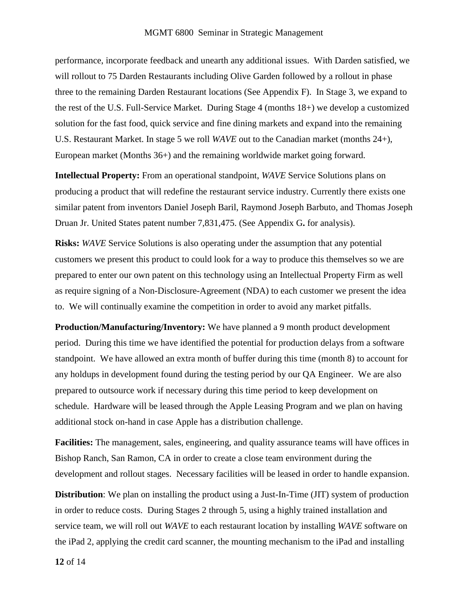performance, incorporate feedback and unearth any additional issues. With Darden satisfied, we will rollout to 75 Darden Restaurants including Olive Garden followed by a rollout in phase three to the remaining Darden Restaurant locations (See Appendix F). In Stage 3, we expand to the rest of the U.S. Full-Service Market. During Stage 4 (months 18+) we develop a customized solution for the fast food, quick service and fine dining markets and expand into the remaining U.S. Restaurant Market. In stage 5 we roll *WAVE* out to the Canadian market (months 24+), European market (Months 36+) and the remaining worldwide market going forward.

**Intellectual Property:** From an operational standpoint, *WAVE* Service Solutions plans on producing a product that will redefine the restaurant service industry. Currently there exists one similar patent from inventors Daniel Joseph Baril, Raymond Joseph Barbuto, and Thomas Joseph Druan Jr. United States patent number 7,831,475. (See Appendix G**.** for analysis).

**Risks:** *WAVE* Service Solutions is also operating under the assumption that any potential customers we present this product to could look for a way to produce this themselves so we are prepared to enter our own patent on this technology using an Intellectual Property Firm as well as require signing of a Non-Disclosure-Agreement (NDA) to each customer we present the idea to. We will continually examine the competition in order to avoid any market pitfalls.

**Production/Manufacturing/Inventory:** We have planned a 9 month product development period. During this time we have identified the potential for production delays from a software standpoint. We have allowed an extra month of buffer during this time (month 8) to account for any holdups in development found during the testing period by our QA Engineer. We are also prepared to outsource work if necessary during this time period to keep development on schedule. Hardware will be leased through the Apple Leasing Program and we plan on having additional stock on-hand in case Apple has a distribution challenge.

**Facilities:** The management, sales, engineering, and quality assurance teams will have offices in Bishop Ranch, San Ramon, CA in order to create a close team environment during the development and rollout stages. Necessary facilities will be leased in order to handle expansion.

**Distribution**: We plan on installing the product using a Just-In-Time (JIT) system of production in order to reduce costs. During Stages 2 through 5, using a highly trained installation and service team, we will roll out *WAVE* to each restaurant location by installing *WAVE* software on the iPad 2, applying the credit card scanner, the mounting mechanism to the iPad and installing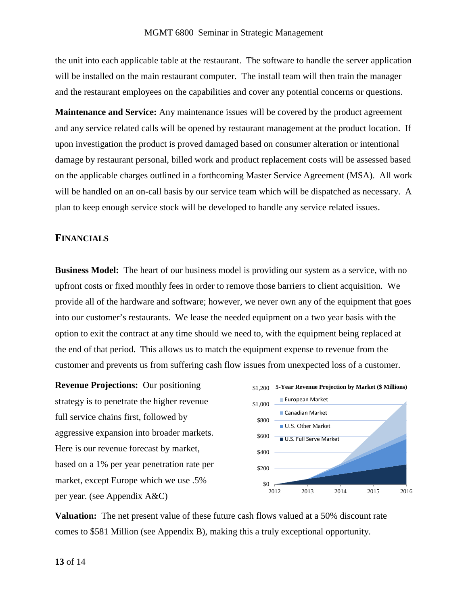the unit into each applicable table at the restaurant. The software to handle the server application will be installed on the main restaurant computer. The install team will then train the manager and the restaurant employees on the capabilities and cover any potential concerns or questions.

**Maintenance and Service:** Any maintenance issues will be covered by the product agreement and any service related calls will be opened by restaurant management at the product location. If upon investigation the product is proved damaged based on consumer alteration or intentional damage by restaurant personal, billed work and product replacement costs will be assessed based on the applicable charges outlined in a forthcoming Master Service Agreement (MSA). All work will be handled on an on-call basis by our service team which will be dispatched as necessary. A plan to keep enough service stock will be developed to handle any service related issues.

#### **FINANCIALS**

**Business Model:** The heart of our business model is providing our system as a service, with no upfront costs or fixed monthly fees in order to remove those barriers to client acquisition. We provide all of the hardware and software; however, we never own any of the equipment that goes into our customer's restaurants. We lease the needed equipment on a two year basis with the option to exit the contract at any time should we need to, with the equipment being replaced at the end of that period. This allows us to match the equipment expense to revenue from the customer and prevents us from suffering cash flow issues from unexpected loss of a customer.

**Revenue Projections:** Our positioning strategy is to penetrate the higher revenue full service chains first, followed by aggressive expansion into broader markets. Here is our revenue forecast by market, based on a 1% per year penetration rate per market, except Europe which we use .5% per year. (see Appendix A&C)



**Valuation:** The net present value of these future cash flows valued at a 50% discount rate comes to \$581 Million (see Appendix B), making this a truly exceptional opportunity.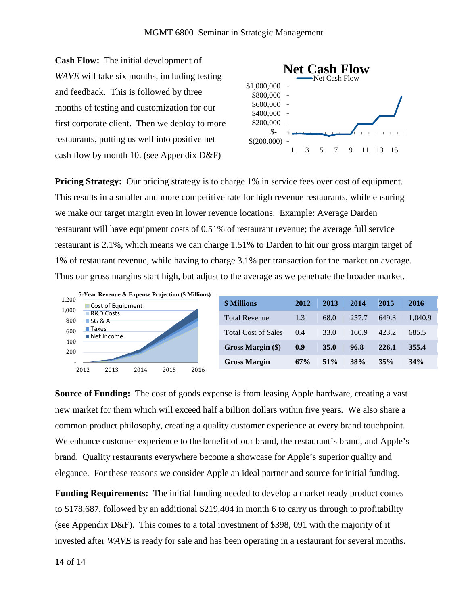**Cash Flow:** The initial development of *WAVE* will take six months, including testing and feedback. This is followed by three months of testing and customization for our first corporate client. Then we deploy to more restaurants, putting us well into positive net cash flow by month 10. (see Appendix D&F)



**Pricing Strategy:** Our pricing strategy is to charge 1% in service fees over cost of equipment. This results in a smaller and more competitive rate for high revenue restaurants, while ensuring we make our target margin even in lower revenue locations. Example: Average Darden restaurant will have equipment costs of 0.51% of restaurant revenue; the average full service restaurant is 2.1%, which means we can charge 1.51% to Darden to hit our gross margin target of 1% of restaurant revenue, while having to charge 3.1% per transaction for the market on average. Thus our gross margins start high, but adjust to the average as we penetrate the broader market.



| <b>\$ Millions</b>         | 2012  | 2013        | 2014       | 2015  | 2016    |
|----------------------------|-------|-------------|------------|-------|---------|
| <b>Total Revenue</b>       | 1.3   | 68.0        | 257.7      | 649.3 | 1.040.9 |
| <b>Total Cost of Sales</b> | (0.4) | 33.0        | 160.9      | 423.2 | 685.5   |
| Gross Margin (\$)          | 0.9   | <b>35.0</b> | 96.8       | 226.1 | 355.4   |
| <b>Gross Margin</b>        | 67%   | $51\%$      | <b>38%</b> | 35%   | 34%     |

**Source of Funding:** The cost of goods expense is from leasing Apple hardware, creating a vast new market for them which will exceed half a billion dollars within five years. We also share a common product philosophy, creating a quality customer experience at every brand touchpoint. We enhance customer experience to the benefit of our brand, the restaurant's brand, and Apple's brand. Quality restaurants everywhere become a showcase for Apple's superior quality and elegance. For these reasons we consider Apple an ideal partner and source for initial funding.

**Funding Requirements:** The initial funding needed to develop a market ready product comes to \$178,687, followed by an additional \$219,404 in month 6 to carry us through to profitability (see Appendix D&F). This comes to a total investment of \$398, 091 with the majority of it invested after *WAVE* is ready for sale and has been operating in a restaurant for several months.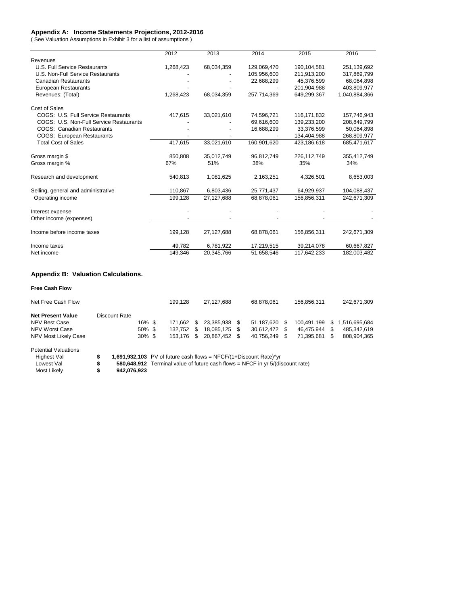#### **Appendix A: Income Statements Projections, 2012-2016**

( See Valuation Assumptions in Exhibit 3 for a list of assumptions )

|                                         | 2012      | 2013       | 2014        | 2015        | 2016          |
|-----------------------------------------|-----------|------------|-------------|-------------|---------------|
| Revenues                                |           |            |             |             |               |
| U.S. Full Service Restaurants           | 1,268,423 | 68,034,359 | 129,069,470 | 190,104,581 | 251,139,692   |
| U.S. Non-Full Service Restaurants       |           |            | 105,956,600 | 211,913,200 | 317,869,799   |
| <b>Canadian Restaurants</b>             |           |            | 22,688,299  | 45,376,599  | 68,064,898    |
| <b>European Restaurants</b>             |           |            |             | 201,904,988 | 403,809,977   |
| Revenues: (Total)                       | 1,268,423 | 68,034,359 | 257,714,369 | 649,299,367 | 1,040,884,366 |
| Cost of Sales                           |           |            |             |             |               |
| COGS: U.S. Full Service Restaurants     | 417,615   | 33,021,610 | 74,596,721  | 116,171,832 | 157,746,943   |
| COGS: U.S. Non-Full Service Restaurants |           |            | 69,616,600  | 139,233,200 | 208,849,799   |
| <b>COGS: Canadian Restaurants</b>       |           |            | 16,688,299  | 33,376,599  | 50,064,898    |
| <b>COGS: European Restaurants</b>       |           |            |             | 134,404,988 | 268,809,977   |
| <b>Total Cost of Sales</b>              | 417,615   | 33,021,610 | 160,901,620 | 423,186,618 | 685,471,617   |
| Gross margin \$                         | 850,808   | 35,012,749 | 96,812,749  | 226,112,749 | 355,412,749   |
| Gross margin %                          | 67%       | 51%        | 38%         | 35%         | 34%           |
| Research and development                | 540,813   | 1,081,625  | 2,163,251   | 4,326,501   | 8,653,003     |
| Selling, general and administrative     | 110,867   | 6,803,436  | 25,771,437  | 64,929,937  | 104,088,437   |
| Operating income                        | 199,128   | 27,127,688 | 68,878,061  | 156,856,311 | 242,671,309   |
| Interest expense                        |           |            |             |             |               |
| Other income (expenses)                 |           |            |             |             |               |
| Income before income taxes              | 199,128   | 27,127,688 | 68,878,061  | 156,856,311 | 242,671,309   |
| Income taxes                            | 49,782    | 6,781,922  | 17,219,515  | 39,214,078  | 60,667,827    |
| Net income                              | 149,346   | 20,345,766 | 51,658,546  | 117,642,233 | 182,003,482   |

#### **Appendix B: Valuation Calculations.**

**Free Cash Flow**

| Net Free Cash Flow          |    |                                                                                  |                                                                                | 199.128 |   | 27,127,688 |     | 68.878.061 |     | 156.856.311 |   | 242,671,309   |  |
|-----------------------------|----|----------------------------------------------------------------------------------|--------------------------------------------------------------------------------|---------|---|------------|-----|------------|-----|-------------|---|---------------|--|
| <b>Net Present Value</b>    |    | Discount Rate                                                                    |                                                                                |         |   |            |     |            |     |             |   |               |  |
| NPV Best Case               |    | 16% \$                                                                           |                                                                                | 171.662 | S | 23.385.938 | \$. | 51.187.620 | \$. | 100.491.199 | S | 1,516,695,684 |  |
| NPV Worst Case              |    | $50\%$ \$                                                                        |                                                                                | 132.752 | S | 18.085.125 | S   | 30,612,472 | \$  | 46.475.944  | S | 485,342,619   |  |
| NPV Most Likely Case        |    | $30\%$ \$                                                                        |                                                                                | 153.176 | S | 20.867.452 | \$. | 40.756.249 | \$. | 71.395.681  | S | 808.904.365   |  |
| <b>Potential Valuations</b> |    |                                                                                  |                                                                                |         |   |            |     |            |     |             |   |               |  |
| Highest Val                 | s  | 1,691,932,103 PV of future cash flows = $NFCF/(1+Discount Rate)$ <sup>n</sup> yr |                                                                                |         |   |            |     |            |     |             |   |               |  |
| Lowest Val                  | \$ |                                                                                  | 580,648,912 Terminal value of future cash flows = NFCF in yr 5/(discount rate) |         |   |            |     |            |     |             |   |               |  |
| Most Likely                 | S  | 942.076.923                                                                      |                                                                                |         |   |            |     |            |     |             |   |               |  |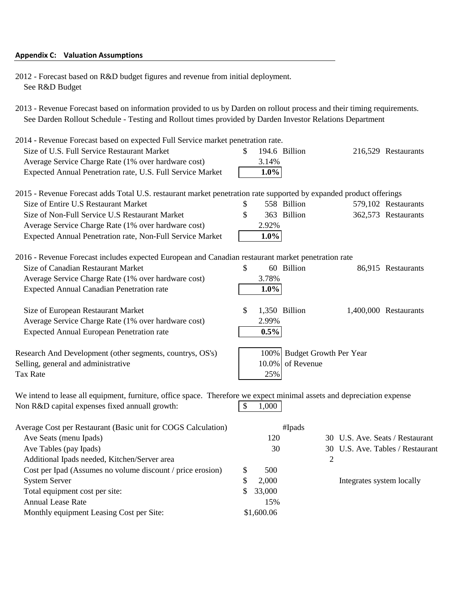#### Appendix C: Valuation Assumptions

2012 - Forecast based on R&D budget figures and revenue from initial deployment. See R&D Budget

Annual Lease Rate 15% Monthly equipment Leasing Cost per Site: \$1,600.06

2013 - Revenue Forecast based on information provided to us by Darden on rollout process and their timing requirements. See Darden Rollout Schedule - Testing and Rollout times provided by Darden Investor Relations Department

| 2014 - Revenue Forecast based on expected Full Service market penetration rate.                                        |              |                                           |                           |                                  |
|------------------------------------------------------------------------------------------------------------------------|--------------|-------------------------------------------|---------------------------|----------------------------------|
| Size of U.S. Full Service Restaurant Market                                                                            | \$           | 194.6 Billion                             |                           | 216,529 Restaurants              |
| Average Service Charge Rate (1% over hardware cost)                                                                    | 3.14%        |                                           |                           |                                  |
| Expected Annual Penetration rate, U.S. Full Service Market                                                             | $1.0\%$      |                                           |                           |                                  |
| 2015 - Revenue Forecast adds Total U.S. restaurant market penetration rate supported by expanded product offerings     |              |                                           |                           |                                  |
| Size of Entire U.S Restaurant Market                                                                                   | \$           | 558 Billion                               |                           | 579,102 Restaurants              |
| Size of Non-Full Service U.S Restaurant Market                                                                         | \$           | 363 Billion                               |                           | 362,573 Restaurants              |
| Average Service Charge Rate (1% over hardware cost)                                                                    | 2.92%        |                                           |                           |                                  |
| Expected Annual Penetration rate, Non-Full Service Market                                                              | $1.0\%$      |                                           |                           |                                  |
| 2016 - Revenue Forecast includes expected European and Canadian restaurant market penetration rate                     |              |                                           |                           |                                  |
| Size of Canadian Restaurant Market                                                                                     | \$           | 60 Billion                                |                           | 86,915 Restaurants               |
| Average Service Charge Rate (1% over hardware cost)                                                                    | 3.78%        |                                           |                           |                                  |
| <b>Expected Annual Canadian Penetration rate</b>                                                                       | $1.0\%$      |                                           |                           |                                  |
| Size of European Restaurant Market                                                                                     | \$           | 1,350 Billion                             |                           | 1,400,000 Restaurants            |
| Average Service Charge Rate (1% over hardware cost)                                                                    | 2.99%        |                                           |                           |                                  |
| <b>Expected Annual European Penetration rate</b>                                                                       | 0.5%         |                                           |                           |                                  |
| Research And Development (other segments, countrys, OS's)<br>Selling, general and administrative<br><b>Tax Rate</b>    | 10.0%<br>25% | 100% Budget Growth Per Year<br>of Revenue |                           |                                  |
| We intend to lease all equipment, furniture, office space. Therefore we expect minimal assets and depreciation expense |              |                                           |                           |                                  |
| Non R&D capital expenses fixed annuall growth:                                                                         | \$<br>1,000  |                                           |                           |                                  |
| Average Cost per Restaurant (Basic unit for COGS Calculation)                                                          |              | #Ipads                                    |                           |                                  |
| Ave Seats (menu Ipads)                                                                                                 | 120          |                                           |                           | 30 U.S. Ave. Seats / Restaurant  |
| Ave Tables (pay Ipads)                                                                                                 | 30           |                                           |                           | 30 U.S. Ave. Tables / Restaurant |
| Additional Ipads needed, Kitchen/Server area                                                                           |              | 2                                         |                           |                                  |
| Cost per Ipad (Assumes no volume discount / price erosion)                                                             | \$<br>500    |                                           |                           |                                  |
| <b>System Server</b>                                                                                                   | \$<br>2,000  |                                           | Integrates system locally |                                  |
| Total equipment cost per site:                                                                                         | \$<br>33,000 |                                           |                           |                                  |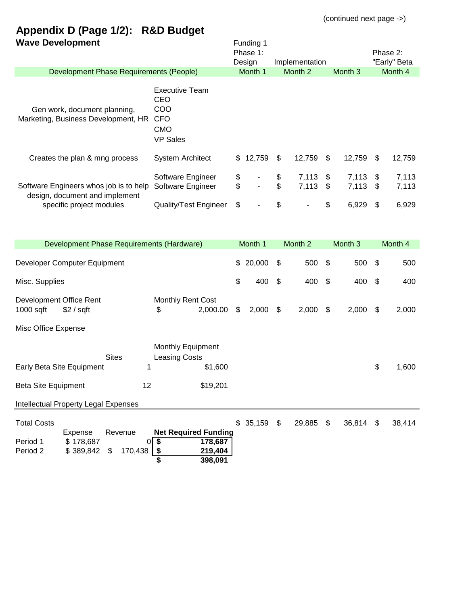# **Appendix D (Page 1/2): R&D Budget**

| <b>Wave Development</b>                                                                                          |                                                                                    |          | Funding 1<br>Phase 1:<br>Design |                                 | Implementation |                           |                |                           | Phase 2:<br>"Early" Beta |
|------------------------------------------------------------------------------------------------------------------|------------------------------------------------------------------------------------|----------|---------------------------------|---------------------------------|----------------|---------------------------|----------------|---------------------------|--------------------------|
| Development Phase Requirements (People)                                                                          |                                                                                    |          | Month 1                         |                                 | Month 2        |                           | Month 3        |                           | Month 4                  |
| Gen work, document planning,<br>Marketing, Business Development, HR                                              | <b>Executive Team</b><br>CEO<br>COO<br><b>CFO</b><br><b>CMO</b><br><b>VP Sales</b> |          |                                 |                                 |                |                           |                |                           |                          |
| Creates the plan & mng process                                                                                   | <b>System Architect</b>                                                            | \$       | 12,759                          | \$                              | 12,759         | \$                        | 12,759         | \$                        | 12,759                   |
| Software Engineers whos job is to help<br>design, document and implement                                         | Software Engineer<br>Software Engineer                                             | \$<br>\$ |                                 | \$<br>$\boldsymbol{\mathsf{S}}$ | 7,113<br>7,113 | \$<br>$\mathfrak{S}$      | 7,113<br>7,113 | \$<br>\$                  | 7,113<br>7,113           |
| specific project modules                                                                                         | <b>Quality/Test Engineer</b>                                                       | \$       |                                 | \$                              |                | \$                        | 6,929          | \$                        | 6,929                    |
| Development Phase Requirements (Hardware)                                                                        |                                                                                    |          | Month 1                         |                                 | Month 2        |                           | Month 3        |                           | Month 4                  |
| Developer Computer Equipment                                                                                     |                                                                                    | \$       | 20,000                          | \$                              | 500            | \$                        | 500            | \$                        | 500                      |
| Misc. Supplies                                                                                                   |                                                                                    | \$       | 400                             | \$                              | 400            | $\boldsymbol{\mathsf{S}}$ | 400            | $\boldsymbol{\mathsf{S}}$ | 400                      |
| Development Office Rent<br>$1000$ sqft<br>\$2 / sqft                                                             | <b>Monthly Rent Cost</b><br>2,000.00<br>\$                                         | \$       | 2,000                           | \$                              | 2,000          | \$                        | 2,000          | \$                        | 2,000                    |
| Misc Office Expense                                                                                              |                                                                                    |          |                                 |                                 |                |                           |                |                           |                          |
| <b>Sites</b><br>Early Beta Site Equipment<br>1<br>12<br>Beta Site Equipment                                      | <b>Monthly Equipment</b><br><b>Leasing Costs</b><br>\$1,600<br>\$19,201            |          |                                 |                                 |                |                           |                | \$                        | 1,600                    |
|                                                                                                                  |                                                                                    |          |                                 |                                 |                |                           |                |                           |                          |
| <b>Intellectual Property Legal Expenses</b>                                                                      |                                                                                    |          |                                 |                                 |                |                           |                |                           |                          |
| <b>Total Costs</b><br>Revenue<br>Expense<br>\$178,687<br>Period 1<br>0<br>Period 2<br>\$389,842<br>170,438<br>\$ | <b>Net Required Funding</b><br>\$<br>178,687<br>219,404<br>\$<br>398,091           | \$       | 35,159 \$                       |                                 | 29,885 \$      |                           | 36,814 \$      |                           | 38,414                   |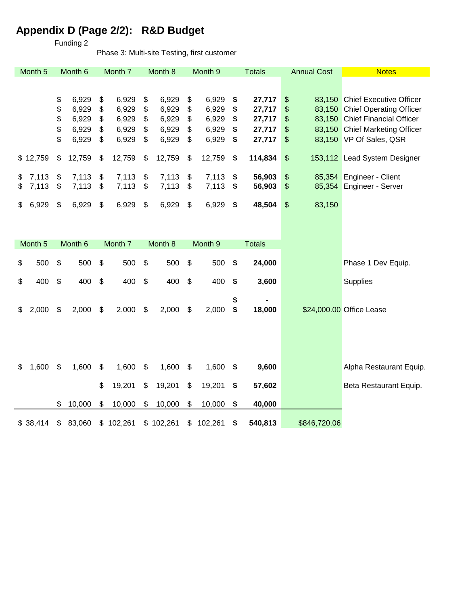# **Appendix D (Page 2/2): R&D Budget**

Funding 2

Phase 3: Multi-site Testing, first customer

| Month <sub>5</sub> |                           | Month <sub>6</sub>      |                | Month 7                 |                | Month 8                 |                | Month <sub>9</sub>      |                | <b>Totals</b>              | <b>Annual Cost</b>                           | <b>Notes</b>                                                                                       |
|--------------------|---------------------------|-------------------------|----------------|-------------------------|----------------|-------------------------|----------------|-------------------------|----------------|----------------------------|----------------------------------------------|----------------------------------------------------------------------------------------------------|
|                    |                           |                         |                |                         |                |                         |                |                         |                |                            |                                              |                                                                                                    |
|                    | \$<br>\$<br>\$            | 6,929<br>6,929<br>6,929 | \$<br>\$<br>\$ | 6,929<br>6,929<br>6,929 | \$<br>\$<br>\$ | 6,929<br>6,929<br>6,929 | \$<br>\$<br>\$ | 6,929<br>6,929<br>6,929 | \$<br>\$<br>\$ | 27,717<br>27,717<br>27,717 | \$<br>83,150<br>\$<br>83,150<br>\$<br>83,150 | <b>Chief Executive Officer</b><br><b>Chief Operating Officer</b><br><b>Chief Financial Officer</b> |
|                    | \$<br>\$                  | 6,929<br>6,929          | \$<br>\$       | 6,929<br>6,929          | \$<br>\$       | 6,929<br>6,929          | \$<br>\$       | 6,929<br>6,929          | \$<br>\$       | 27,717<br>27,717           | \$<br>83,150<br>\$                           | <b>Chief Marketing Officer</b><br>83,150 VP Of Sales, QSR                                          |
|                    |                           |                         |                |                         |                |                         |                |                         |                |                            |                                              |                                                                                                    |
| \$12,759           | \$                        | 12,759                  | \$             | 12,759                  | \$             | 12,759                  | \$             | 12,759                  | \$             | 114,834                    | \$                                           | 153,112 Lead System Designer                                                                       |
| \$<br>7,113        | \$                        | 7,113                   | \$             | 7,113                   | \$             | 7,113                   | \$             | 7,113                   | \$             | 56,903                     | \$<br>85,354                                 | Engineer - Client                                                                                  |
| \$<br>7,113        | \$                        | 7,113                   | \$             | 7,113                   | \$             | 7,113                   | \$             | 7,113                   | \$             | 56,903                     | \$<br>85,354                                 | Engineer - Server                                                                                  |
| \$<br>6,929        | \$                        | 6,929                   | \$             | 6,929                   | \$             | 6,929                   | \$             | 6,929                   | \$             | 48,504                     | \$<br>83,150                                 |                                                                                                    |
|                    |                           |                         |                |                         |                |                         |                |                         |                |                            |                                              |                                                                                                    |
|                    |                           |                         |                |                         |                |                         |                |                         |                |                            |                                              |                                                                                                    |
| Month <sub>5</sub> |                           | Month 6                 |                | Month 7                 |                | Month 8                 |                | Month <sub>9</sub>      |                | <b>Totals</b>              |                                              |                                                                                                    |
| \$<br>500          | \$                        | 500                     | \$             | 500                     | \$             | 500                     | \$             | 500                     | \$             | 24,000                     |                                              | Phase 1 Dev Equip.                                                                                 |
| \$<br>400          | \$                        | 400                     | \$             | 400                     | \$             | 400                     | \$             | 400                     | \$             | 3,600                      |                                              | Supplies                                                                                           |
|                    |                           |                         |                |                         |                |                         |                |                         | \$             |                            |                                              |                                                                                                    |
| \$<br>2,000        | \$                        | 2,000                   | \$             | 2,000                   | \$             | 2,000                   | \$             | 2,000                   | \$             | 18,000                     |                                              | \$24,000.00 Office Lease                                                                           |
|                    |                           |                         |                |                         |                |                         |                |                         |                |                            |                                              |                                                                                                    |
|                    |                           |                         |                |                         |                |                         |                |                         |                |                            |                                              |                                                                                                    |
|                    |                           |                         |                |                         |                |                         |                |                         |                |                            |                                              |                                                                                                    |
| \$<br>1,600        | $\boldsymbol{\mathsf{S}}$ | 1,600                   | \$             | 1,600                   | \$             | 1,600                   | \$             | 1,600                   | \$             | 9,600                      |                                              | Alpha Restaurant Equip.                                                                            |
|                    |                           |                         | \$             | 19,201                  | \$             | 19,201                  | \$             | 19,201                  | \$             | 57,602                     |                                              | Beta Restaurant Equip.                                                                             |
|                    | \$                        | 10,000                  | \$             | 10,000                  | \$             | 10,000                  | \$             | 10,000                  | \$             | 40,000                     |                                              |                                                                                                    |
| \$38,414           | \$                        | 83,060                  | \$             | 102,261                 |                | \$102,261               | \$             | 102,261                 | \$             | 540,813                    | \$846,720.06                                 |                                                                                                    |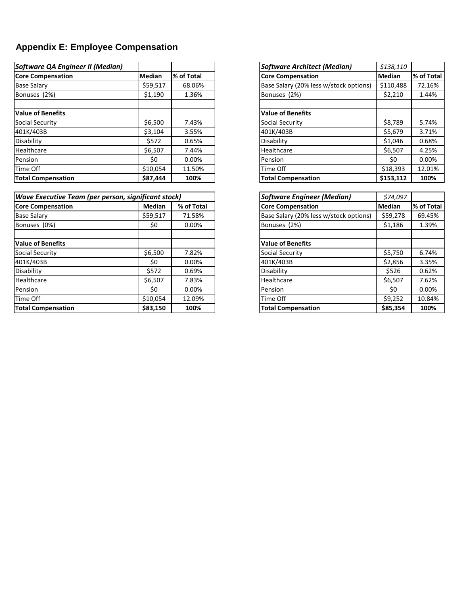# **Appendix E: Employee Compensation**

| Software QA Engineer II (Median) |               |            | <b>Software Architect (Median)</b>     | \$138,110     |            |  |
|----------------------------------|---------------|------------|----------------------------------------|---------------|------------|--|
| <b>Core Compensation</b>         | <b>Median</b> | % of Total | <b>Core Compensation</b>               | <b>Median</b> | % of Total |  |
| <b>Base Salary</b>               | \$59,517      | 68.06%     | Base Salary (20% less w/stock options) | \$110,488     | 72.16%     |  |
| Bonuses (2%)                     | \$1,190       | 1.36%      | Bonuses (2%)                           | \$2,210       | 1.44%      |  |
| <b>Value of Benefits</b>         |               |            | <b>Value of Benefits</b>               |               |            |  |
| Social Security                  | \$6,500       | 7.43%      | Social Security                        | \$8,789       | 5.74%      |  |
| 401K/403B                        | \$3,104       | 3.55%      | 401K/403B                              | \$5,679       | 3.71%      |  |
| Disability                       | \$572         | 0.65%      | Disability                             | \$1,046       | 0.68%      |  |
| Healthcare                       | \$6.507       | 7.44%      | Healthcare                             | \$6,507       | 4.25%      |  |
| Pension                          | \$0           | 0.00%      | Pension                                | S0            | 0.00%      |  |
| Time Off                         | \$10.054      | 11.50%     | Time Off                               | \$18,393      | 12.01%     |  |
| <b>Total Compensation</b>        | \$87,444      | 100%       | <b>Total Compensation</b>              | \$153,112     | 100%       |  |

| <b>Wave Executive Team (per person, significant stock)</b> |               |            | <b>Software Engineer (Median)</b>      | \$74,097      |            |
|------------------------------------------------------------|---------------|------------|----------------------------------------|---------------|------------|
| <b>Core Compensation</b>                                   | <b>Median</b> | % of Total | <b>Core Compensation</b>               | <b>Median</b> | % of Total |
| <b>Base Salary</b>                                         | \$59,517      | 71.58%     | Base Salary (20% less w/stock options) | \$59,278      | 69.45%     |
| Bonuses (0%)                                               | \$0           | 0.00%      | Bonuses (2%)                           | \$1,186       | 1.39%      |
| <b>Value of Benefits</b>                                   |               |            | <b>Value of Benefits</b>               |               |            |
| Social Security                                            | \$6,500       | 7.82%      | Social Security                        | \$5,750       | 6.74%      |
| 401K/403B                                                  | \$0           | 0.00%      | 401K/403B                              | \$2,856       | 3.35%      |
| Disability                                                 | \$572         | 0.69%      | Disability                             | \$526         | 0.62%      |
| Healthcare                                                 | \$6,507       | 7.83%      | Healthcare                             | \$6,507       | 7.62%      |
| Pension                                                    | \$0           | 0.00%      | Pension                                | \$0           | 0.00%      |
| Time Off                                                   | \$10.054      | 12.09%     | Time Off                               | \$9,252       | 10.84%     |
| <b>Total Compensation</b>                                  | \$83,150      | 100%       | <b>Total Compensation</b>              | \$85,354      | 100%       |

| <b>Software Architect (Median)</b>     | \$138,110 |            |
|----------------------------------------|-----------|------------|
| <b>Core Compensation</b>               | Median    | % of Total |
| Base Salary (20% less w/stock options) | \$110,488 | 72.16%     |
| Bonuses (2%)                           | \$2,210   | 1.44%      |
|                                        |           |            |
| <b>Value of Benefits</b>               |           |            |
| Social Security                        | \$8,789   | 5.74%      |
| 401K/403B                              | \$5,679   | 3.71%      |
| Disability                             | \$1,046   | 0.68%      |
| Healthcare                             | \$6,507   | 4.25%      |
| Pension                                | \$0       | 0.00%      |
| Time Off                               | \$18,393  | 12.01%     |
| <b>Total Compensation</b>              | \$153,112 | 100%       |

| <b>Software Engineer (Median)</b>      | \$74,097      |            |
|----------------------------------------|---------------|------------|
| <b>Core Compensation</b>               | <b>Median</b> | % of Total |
| Base Salary (20% less w/stock options) | \$59,278      | 69.45%     |
| Bonuses (2%)                           | \$1,186       | 1.39%      |
|                                        |               |            |
| <b>Value of Benefits</b>               |               |            |
| Social Security                        | \$5,750       | 6.74%      |
| 401K/403B                              | \$2,856       | 3.35%      |
| Disability                             | \$526         | 0.62%      |
| Healthcare                             | \$6,507       | 7.62%      |
| Pension                                | \$0           | 0.00%      |
| Time Off                               | \$9,252       | 10.84%     |
| <b>Total Compensation</b>              | \$85,354      | 100%       |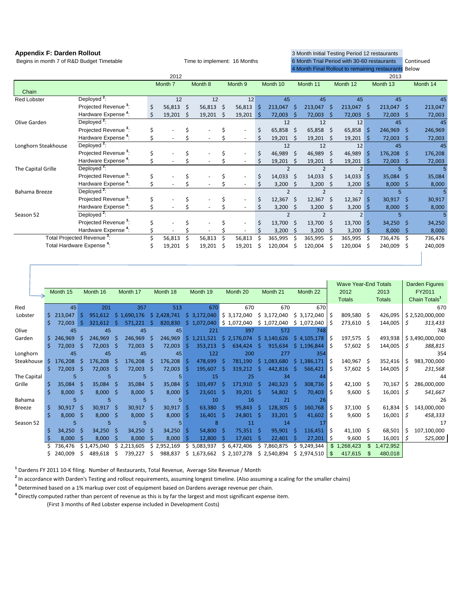| Begins in month 7 of R&D Budget Timetable |                                        |    |         | Time to implement: 16 Months |         |    |                    |    | 6 Month Trial Period with 30-60 restaurants |      |                |            |                |          |                                                      | Continued |          |  |
|-------------------------------------------|----------------------------------------|----|---------|------------------------------|---------|----|--------------------|----|---------------------------------------------|------|----------------|------------|----------------|----------|------------------------------------------------------|-----------|----------|--|
|                                           |                                        |    |         |                              |         |    |                    |    |                                             |      |                |            |                |          | 4 Month Final Rollout to remaining restaurants Below |           |          |  |
|                                           |                                        |    | 2012    |                              |         |    |                    |    | 2013                                        |      |                |            |                |          |                                                      |           |          |  |
|                                           |                                        |    | Month 7 |                              | Month 8 |    | Month <sub>9</sub> |    | Month 10                                    |      | Month 11       |            | Month 12       | Month 13 |                                                      |           | Month 14 |  |
| Chain                                     |                                        |    |         |                              |         |    |                    |    |                                             |      |                |            |                |          |                                                      |           |          |  |
| <b>Red Lobster</b>                        | Deployed <sup>2</sup> :                |    | 12      |                              | 12      |    | 12                 |    | 45                                          |      | 45             |            | 45             |          | 45                                                   |           | 45       |  |
|                                           | Projected Revenue <sup>3</sup> :       | Ś  | 56,813  | Š.                           | 56,813  | Š. | 56,813             | Ś  | 213,047                                     | -S   | 213,047        |            | 213,047        | -\$      | 213,047                                              | -Ś        | 213,047  |  |
|                                           | Hardware Expense <sup>4</sup> :        |    | 19,201  | -S                           | 19,201  | S  | 19,201             | \$ | 72,003                                      | -S   | 72,003         |            | 72,003         | -S       | 72,003                                               | S         | 72,003   |  |
| Olive Garden                              | Deployed $2$ :                         |    |         |                              |         |    |                    |    | 12                                          |      | 12             |            | 12             |          | 45                                                   |           | 45       |  |
|                                           | Projected Revenue <sup>3</sup> :       |    |         |                              |         |    |                    |    | $65,858$ \$                                 |      | 65,858         | - \$       | 65,858         | l\$      | 246,969                                              | -Ś        | 246,969  |  |
|                                           | Hardware Expense <sup>4</sup> :        |    |         |                              |         |    |                    |    | 19,201                                      | - \$ | 19,201         | S          | $19,201$ \$    |          | 72,003                                               |           | 72,003   |  |
| Longhorn Steakhouse                       | Deployed <sup>2</sup> :                |    |         |                              |         |    |                    |    | 12                                          |      | 12             |            | 12             |          | 45                                                   |           | 45       |  |
|                                           | Projected Revenue <sup>3</sup> :       |    |         |                              |         |    |                    | \$ | 46,989                                      | -Ś   | 46,989         | Ŝ.         | 46,989         | \$       | 176,208                                              | -Ś        | 176,208  |  |
|                                           | Hardware Expense <sup>4</sup> :        |    |         |                              |         |    |                    | Ś  | 19,201                                      | -Ś   | 19,201         | S          | $19,201$ \$    |          | 72,003                                               | -S        | 72,003   |  |
| The Capital Grille                        | Deployed <sup>2</sup> :                |    |         |                              |         |    |                    |    | $\mathfrak{p}$                              |      | $\mathfrak{p}$ |            | $\overline{2}$ |          | 5                                                    |           |          |  |
|                                           | Projected Revenue <sup>3</sup> :       | \$ |         |                              |         |    |                    | \$ | 14,033                                      | -Ś   | 14,033         | $\sqrt{5}$ | 14,033         | l \$     | 35,084                                               | -S        | 35,084   |  |
|                                           | Hardware Expense <sup>4</sup> :        |    |         |                              |         |    |                    | Ś  | 3,200                                       | \$   | 3,200          | \$         | 3,200          | ∣\$      | 8,000                                                |           | 8,000    |  |
| Bahama Breeze                             | Deployed <sup>2</sup> :                |    |         |                              |         |    |                    |    | $\overline{2}$                              |      | $\overline{2}$ |            | $\overline{2}$ |          | 5                                                    |           |          |  |
|                                           | Projected Revenue <sup>3</sup> :       |    |         |                              |         |    |                    | \$ | 12,367                                      | Ŝ.   | 12,367         | Ŝ.         | 12,367         | Š.       | 30,917                                               | Ś         | 30,917   |  |
|                                           | Hardware Expense <sup>4</sup> :        |    |         |                              |         |    |                    |    | 3,200                                       |      | 3,200          |            | 3,200          | S        | 8,000                                                |           | 8,000    |  |
| Season 52                                 | Deployed <sup>2</sup> :                |    |         |                              |         |    |                    |    |                                             |      | $\mathfrak{p}$ |            | $\overline{2}$ |          | 5                                                    |           |          |  |
|                                           | Projected Revenue <sup>3</sup> :       |    |         |                              |         |    |                    | Ś  | 13,700                                      | -Ś   | 13,700         | Ŝ.         | 13,700         | Ś        | 34,250                                               | -Ś        | 34,250   |  |
|                                           | Hardware Expense <sup>4</sup> :        |    |         |                              |         |    | ÷                  |    | 3,200                                       | -S   | 3,200          |            | 3,200          | ۱s       | 8,000                                                |           | 8,000    |  |
|                                           | Total Projected Revenue <sup>3</sup> : |    | 56,813  |                              | 56,813  |    | 56,813             |    | 365,995                                     | -S   | 365,995        |            | 365,995        |          | 736,476                                              | Ŝ.        | 736,476  |  |
|                                           | Total Hardware Expense <sup>4</sup> :  |    | 19,201  | S                            | 19,201  | Ś  | 19,201             |    | 120,004                                     |      | 120,004        |            | 120,004        | S        | 240,009                                              | .s        | 240,009  |  |
|                                           |                                        |    |         |                              |         |    |                    |    |                                             |      |                |            |                |          |                                                      |           |          |  |

**Appendix F: Darden Rollout** 3 Month Initial Testing Period 12 restaurants

|               |    |          |      |             |              |             |     |             |    |             |      |             |     |             |     |             |      | <b>Wave Year-End Totals</b> |      |               |   | Darden Figures            |
|---------------|----|----------|------|-------------|--------------|-------------|-----|-------------|----|-------------|------|-------------|-----|-------------|-----|-------------|------|-----------------------------|------|---------------|---|---------------------------|
|               |    | Month 15 |      | Month 16    |              | Month 17    |     | Month 18    |    | Month 19    |      | Month 20    |     | Month 21    |     | Month 22    |      | 2012                        |      | 2013          |   | FY2011                    |
|               |    |          |      |             |              |             |     |             |    |             |      |             |     |             |     |             |      | <b>Totals</b>               |      | <b>Totals</b> |   | Chain Totals <sup>1</sup> |
| Red           |    | 45       |      | 201         |              | 357         |     | 513         |    | 670         |      | 670         |     | 670         |     | 670         |      |                             |      |               |   | 670                       |
| Lobster       |    | 213,047  |      | 951,612     |              | \$1,690,176 |     | \$2,428,741 |    | \$3,172,040 |      | \$3,172,040 |     | \$3,172,040 |     | \$3,172,040 | -S   | 809,580                     | Ŝ.   | 426,095       |   | \$2,520,000,000           |
|               | Š. | 72,003   |      | 321,612     |              | 571,221     |     | 820,830     |    | \$1,072,040 |      | \$1,072,040 |     | \$1,072,040 |     | \$1,072,040 | S    | 273,610                     | S    | 144,005       | S | 313,433                   |
| Olive         |    | 45       |      | 45          |              | 45          |     | 45          |    | 221         |      | 397         |     | 572         |     | 748         |      |                             |      |               |   | 748                       |
| Garden        |    | 246.969  |      | 246,969     |              | 246,969     | -S  | 246,969     | S. | 1,211,521   |      | \$2.176.074 |     | \$3.140.626 |     | \$4.105.178 | -S   | 197,575 \$                  |      | 493,938       |   | \$3,490,000,000           |
|               |    | 72,003   | -S   | 72,003      | -S           | 72,003      | -S  | 72,003      |    | 353,213     | Š.   | 634.424     | S.  | 915,634     |     | \$1,196,844 | S    | 57,602                      | -S   | 144,005       | S | 388,815                   |
| Longhorn      |    | 45       |      | 45          |              | 45          |     | 45          |    | 122         |      | 200         |     | 277         |     | 354         |      |                             |      |               |   | 354                       |
| Steakhouse    | Ŝ. | 176,208  |      | 176,208     |              | 176,208     | -S  | 176,208     |    | 478,699     | Ŝ.   | 781,190     |     | \$1,083,680 |     | \$1,386,171 | S    | 140,967                     | - \$ | 352,416       | S | 983,700,000               |
|               | Š. | 72,003   | - S  | 72,003      | -S           | 72,003      | - Ś | 72,003      | S. | 195,607     | -S   | 319.212     | S.  | 442,816     | -S  | 566,421     | S    | 57,602 \$                   |      | 144,005       | S | 231,568                   |
| The Capital   |    | 5        |      | 5           |              | 5           |     | 5           |    | 15          |      | 25          |     | 34          |     | 44          |      |                             |      |               |   | 44                        |
| Grille        |    | 35,084   | - \$ | 35,084      | - \$         | 35,084 \$   |     | 35,084      |    | 103,497     | -Ŝ   | 171,910     | -S  | 240,323     | - Ś | 308,736     | Ŝ.   | $42,100 \quad $$            |      | 70,167        | S | 286,000,000               |
|               |    | 8,000    | - \$ | 8,000       | - S          | $8,000$ \$  |     | 8,000       | -S | 23,601      | -S   | 39,201      |     | 54,802      | -Ś  | 70,403      | Ŝ    | $9,600$ \$                  |      | 16,001        | S | 541,667                   |
| Bahama        |    | 5        |      | 5           |              | 5           |     | 5           |    | 10          |      | 16          |     | 21          |     | 26          |      |                             |      |               |   | 26                        |
| <b>Breeze</b> |    | 30,917   | - \$ | 30,917      | - \$         | $30,917$ \$ |     | 30,917      | S. | $63,380$ \$ |      | 95,843      | -S  | 128,305     | -S  | 160,768     | \$.  | $37,100 \quad $$            |      | 61,834        | S | 143,000,000               |
|               |    | 8,000    | - S  | 8,000       | - \$         | $8,000$ \$  |     | 8,000       |    | 16,401      | - \$ | 24,801      | - S | 33,201      | -S  | 41,602      | S    | $9,600$ \$                  |      | 16,001        | S | 458,333                   |
| Season 52     |    | 5        |      | 5           |              | 5           |     | 5           |    | 8           |      | 11          |     | 14          |     | 17          |      |                             |      |               |   | 17                        |
|               |    | 34,250   | - Ś  | 34,250      | -Ś           | $34,250$ \$ |     | 34,250      | S. | 54,800 \$   |      | $75,351$ \$ |     | 95,901      | -S  | 116,451     | S    | $41,100 \pm 5$              |      | 68,501        | S | 107,100,000               |
|               |    | 8,000    |      | 8,000       | -S           | 8,000       | -S  | 8,000       |    | 12,800      |      | 17,601      |     | 22,401      | S   | 27,201      | -\$  | 9,600                       | .s   | 16,001        | S | 525,000                   |
|               |    | 736.476  |      | \$1.475.040 |              | \$2,213,605 |     | \$2,952,169 | Ŝ. | 5,083,937   |      | \$6,472,406 |     | \$7,860,875 |     | \$9,249,344 |      | \$1,268,423                 | \$.  | 1,472,952     |   |                           |
|               |    | 240,009  | S    | 489,618     | <sub>S</sub> | 739,227     | S   | 988,837     |    | \$1,673,662 |      | \$2,107,278 |     | \$2,540,894 |     | \$2,974,510 | - \$ | 417,615                     |      | 480,018       |   |                           |
|               |    |          |      |             |              |             |     |             |    |             |      |             |     |             |     |             |      |                             |      |               |   |                           |

<sup>1</sup> Dardens FY 2011 10-K filing. Number of Restaurants, Total Revenue, Average Site Revenue / Month

<sup>2</sup> In accordance with Darden's Testing and rollout requirements, assuming longest timeline. (Also assuming a scaling for the smaller chains)

<sup>3</sup> Determined based on a 1% markup over cost of equipment based on Dardens average revenue per chain.

<sup>4</sup> Directly computed rather than percent of revenue as this is by far the largest and most significant expense item.

(First 3 months of Red Lobster expense included in Development Costs)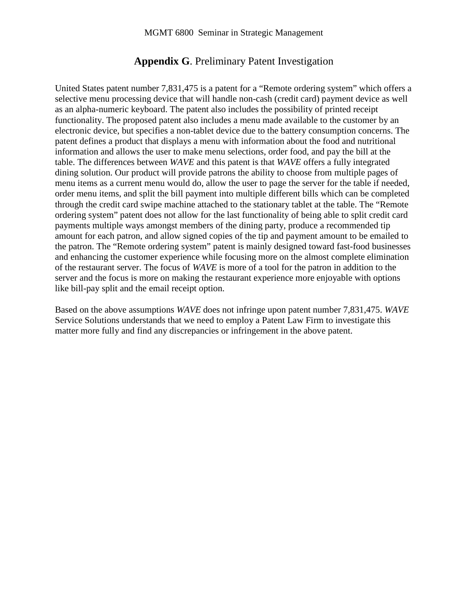## **Appendix G**. Preliminary Patent Investigation

United States patent number 7,831,475 is a patent for a "Remote ordering system" which offers a selective menu processing device that will handle non-cash (credit card) payment device as well as an alpha-numeric keyboard. The patent also includes the possibility of printed receipt functionality. The proposed patent also includes a menu made available to the customer by an electronic device, but specifies a non-tablet device due to the battery consumption concerns. The patent defines a product that displays a menu with information about the food and nutritional information and allows the user to make menu selections, order food, and pay the bill at the table. The differences between *WAVE* and this patent is that *WAVE* offers a fully integrated dining solution. Our product will provide patrons the ability to choose from multiple pages of menu items as a current menu would do, allow the user to page the server for the table if needed, order menu items, and split the bill payment into multiple different bills which can be completed through the credit card swipe machine attached to the stationary tablet at the table. The "Remote ordering system" patent does not allow for the last functionality of being able to split credit card payments multiple ways amongst members of the dining party, produce a recommended tip amount for each patron, and allow signed copies of the tip and payment amount to be emailed to the patron. The "Remote ordering system" patent is mainly designed toward fast-food businesses and enhancing the customer experience while focusing more on the almost complete elimination of the restaurant server. The focus of *WAVE* is more of a tool for the patron in addition to the server and the focus is more on making the restaurant experience more enjoyable with options like bill-pay split and the email receipt option.

Based on the above assumptions *WAVE* does not infringe upon patent number 7,831,475. *WAVE* Service Solutions understands that we need to employ a Patent Law Firm to investigate this matter more fully and find any discrepancies or infringement in the above patent.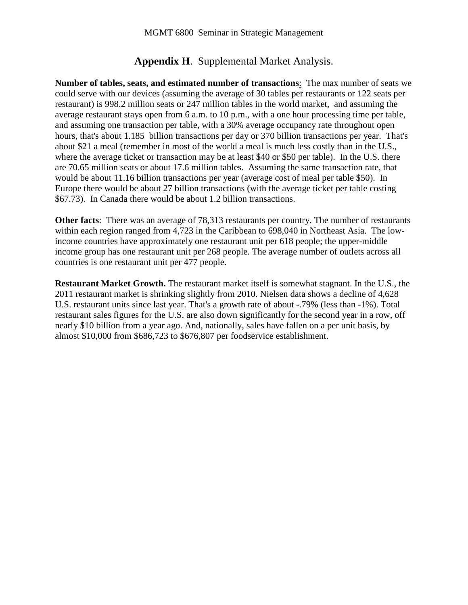## **Appendix H**. Supplemental Market Analysis.

**Number of tables, seats, and estimated number of transactions**: The max number of seats we could serve with our devices (assuming the average of 30 tables per restaurants or 122 seats per restaurant) is 998.2 million seats or 247 million tables in the world market, and assuming the average restaurant stays open from 6 a.m. to 10 p.m., with a one hour processing time per table, and assuming one transaction per table, with a 30% average occupancy rate throughout open hours, that's about 1.185 billion transactions per day or 370 billion transactions per year. That's about \$21 a meal (remember in most of the world a meal is much less costly than in the U.S., where the average ticket or transaction may be at least \$40 or \$50 per table). In the U.S. there are 70.65 million seats or about 17.6 million tables. Assuming the same transaction rate, that would be about 11.16 billion transactions per year (average cost of meal per table \$50). In Europe there would be about 27 billion transactions (with the average ticket per table costing \$67.73). In Canada there would be about 1.2 billion transactions.

**Other facts**: There was an average of 78,313 restaurants per country. The number of restaurants within each region ranged from 4,723 in the Caribbean to 698,040 in Northeast Asia. The lowincome countries have approximately one restaurant unit per 618 people; the upper-middle income group has one restaurant unit per 268 people. The average number of outlets across all countries is one restaurant unit per 477 people.

**Restaurant Market Growth.** The restaurant market itself is somewhat stagnant. In the U.S., the 2011 restaurant market is shrinking slightly from 2010. Nielsen data shows a decline of 4,628 U.S. restaurant units since last year. That's a growth rate of about -.79% (less than -1%). Total restaurant sales figures for the U.S. are also down significantly for the second year in a row, off nearly \$10 billion from a year ago. And, nationally, sales have fallen on a per unit basis, by almost \$10,000 from \$686,723 to \$676,807 per foodservice establishment.